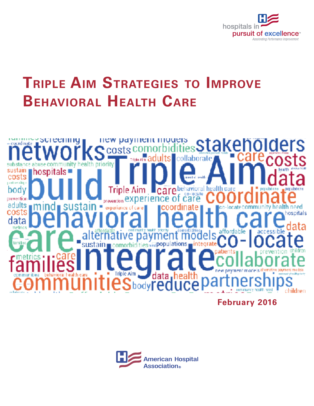

# **Triple Aim Strategies to Improve Behavioral Health Care**



**February 2016**

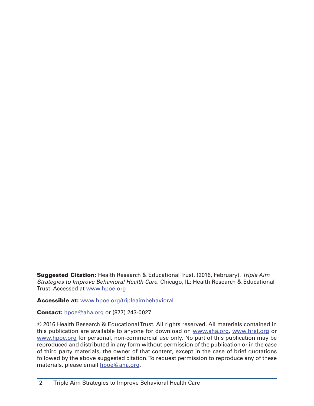Suggested Citation: Health Research & Educational Trust. (2016, February). *Triple Aim Strategies to Improve Behavioral Health Care*. Chicago, IL: Health Research & Educational Trust. Accessed at<www.hpoe.org>

Accessible at: <www.hpoe.org/tripleaimbehavioral>

### **Contact:** [hpoe@aha.org](mailto:hpoe@aha.org) or (877) 243-0027

© 2016 Health Research & Educational Trust. All rights reserved. All materials contained in this publication are available to anyone for download on <www.aha.org>, <www.hret.org> or <www.hpoe.org> for personal, non-commercial use only. No part of this publication may be reproduced and distributed in any form without permission of the publication or in the case of third party materials, the owner of that content, except in the case of brief quotations followed by the above suggested citation. To request permission to reproduce any of these materials, please email [hpoe@aha.org](mailto:hpoe@aha.org).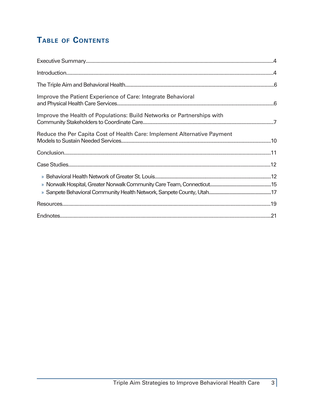## TABLE OF CONTENTS

| Improve the Patient Experience of Care: Integrate Behavioral             |  |
|--------------------------------------------------------------------------|--|
| Improve the Health of Populations: Build Networks or Partnerships with   |  |
| Reduce the Per Capita Cost of Health Care: Implement Alternative Payment |  |
|                                                                          |  |
|                                                                          |  |
|                                                                          |  |
|                                                                          |  |
|                                                                          |  |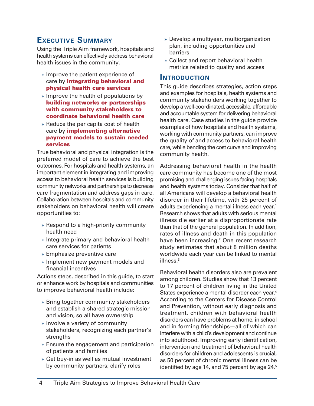## <span id="page-3-0"></span>**Executive Summary**

Using the Triple Aim framework, hospitals and health systems can effectively address behavioral health issues in the community.

- » Improve the patient experience of care by **integrating behavioral and** physical health care services
- » Improve the health of populations by building networks or partnerships with community stakeholders to coordinate behavioral health care
- » Reduce the per capita cost of health care by *implementing alternative* payment models to sustain needed services

True behavioral and physical integration is the preferred model of care to achieve the best outcomes. For hospitals and health systems, an important element in integrating and improving access to behavioral health services is building community networks and partnerships to decrease care fragmentation and address gaps in care. Collaboration between hospitals and community stakeholders on behavioral health will create opportunities to:

- » Respond to a high-priority community health need
- » Integrate primary and behavioral health care services for patients
- » Emphasize preventive care
- » Implement new payment models and financial incentives

Actions steps, described in this guide, to start or enhance work by hospitals and communities to improve behavioral health include:

- » Bring together community stakeholders and establish a shared strategic mission and vision, so all have ownership
- » Involve a variety of community stakeholders, recognizing each partner's strengths
- » Ensure the engagement and participation of patients and families
- » Get buy-in as well as mutual investment by community partners; clarify roles
- » Develop a multiyear, multiorganization plan, including opportunities and barriers
- » Collect and report behavioral health metrics related to quality and access

### **Introduction**

This guide describes strategies, action steps and examples for hospitals, health systems and community stakeholders working together to develop a well-coordinated, accessible, affordable and accountable system for delivering behavioral health care. Case studies in the guide provide examples of how hospitals and health systems, working with community partners, can improve the quality of and access to behavioral health care, while bending the cost curve and improving community health.

Addressing behavioral health in the health care community has become one of the most promising and challenging issues facing hospitals and health systems today. Consider that half of all Americans will develop a behavioral health disorder in their lifetime, with 25 percent of adults experiencing a mental illness each year.<sup>1</sup> Research shows that adults with serious mental illness die earlier at a disproportionate rate than that of the general population. In addition, rates of illness and death in this population have been increasing.<sup>2</sup> One recent research study estimates that about 8 million deaths worldwide each year can be linked to mental illness.3

Behavioral health disorders also are prevalent among children. Studies show that 13 percent to 17 percent of children living in the United States experience a mental disorder each year.<sup>4</sup> According to the Centers for Disease Control and Prevention, without early diagnosis and treatment, children with behavioral health disorders can have problems at home, in school and in forming friendships—all of which can interfere with a child's development and continue into adulthood. Improving early identification, intervention and treatment of behavioral health disorders for children and adolescents is crucial, as 50 percent of chronic mental illness can be identified by age 14, and 75 percent by age 24.<sup>5</sup>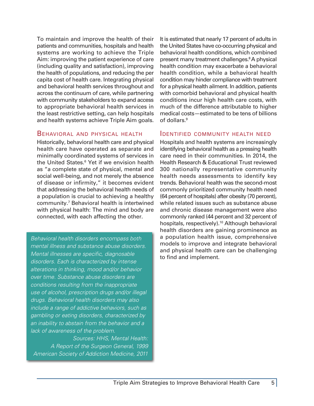To maintain and improve the health of their patients and communities, hospitals and health systems are working to achieve the Triple Aim: improving the patient experience of care (including quality and satisfaction), improving the health of populations, and reducing the per capita cost of health care. Integrating physical and behavioral health services throughout and across the continuum of care, while partnering with community stakeholders to expand access to appropriate behavioral health services in the least restrictive setting, can help hospitals and health systems achieve Triple Aim goals.

### Behavioral and physical health

Historically, behavioral health care and physical health care have operated as separate and minimally coordinated systems of services in the United States.<sup>6</sup> Yet if we envision health as "a complete state of physical, mental and social well-being, and not merely the absence of disease or infirmity," it becomes evident that addressing the behavioral health needs of a population is crucial to achieving a healthy community.7 Behavioral health is intertwined with physical health: The mind and body are connected, with each affecting the other.

*Behavioral health disorders encompass both mental illness and substance abuse disorders. Mental illnesses are specific, diagnosable disorders. Each is characterized by intense alterations in thinking, mood and/or behavior over time. Substance abuse disorders are conditions resulting from the inappropriate use of alcohol, prescription drugs and/or illegal drugs. Behavioral health disorders may also include a range of addictive behaviors, such as gambling or eating disorders, characterized by an inability to abstain from the behavior and a lack of awareness of the problem.*

 *Sources: HHS, Mental Health: A Report of the Surgeon General, 1999 American Society of Addiction Medicine, 2011*

It is estimated that nearly 17 percent of adults in the United States have co-occurring physical and behavioral health conditions, which combined present many treatment challenges.8 A physical health condition may exacerbate a behavioral health condition, while a behavioral health condition may hinder compliance with treatment for a physical health ailment. In addition, patients with comorbid behavioral and physical health conditions incur high health care costs, with much of the difference attributable to higher medical costs—estimated to be tens of billions of dollars.<sup>9</sup>

### Identified community health need

Hospitals and health systems are increasingly identifying behavioral health as a pressing health care need in their communities. In 2014, the Health Research & Educational Trust reviewed 300 nationally representative community health needs assessments to identify key trends. Behavioral health was the second-most commonly prioritized community health need (64 percent of hospitals) after obesity (70 percent), while related issues such as substance abuse and chronic disease management were also commonly ranked (44 percent and 32 percent of hospitals, respectively).<sup>10</sup> Although behavioral health disorders are gaining prominence as a population health issue, comprehensive models to improve and integrate behavioral and physical health care can be challenging to find and implement.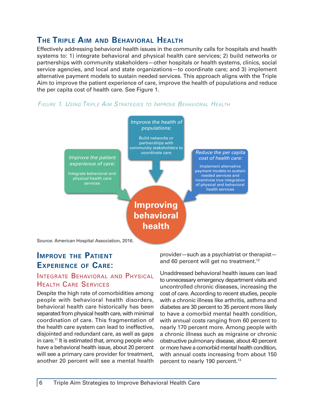## <span id="page-5-0"></span>**The Triple Aim and Behavioral Health**

Effectively addressing behavioral health issues in the community calls for hospitals and health systems to: 1) integrate behavioral and physical health care services; 2) build networks or partnerships with community stakeholders—other hospitals or health systems, clinics, social service agencies, and local and state organizations—to coordinate care; and 3) implement alternative payment models to sustain needed services. This approach aligns with the Triple Aim to improve the patient experience of care, improve the health of populations and reduce the per capita cost of health care. See Figure 1.





## **Improve the Patient Experience of Care:**

## INTEGRATE BEHAVIORAL AND PHYSICAL Health Care Services

Despite the high rate of comorbidities among people with behavioral health disorders, behavioral health care historically has been separated from physical health care, with minimal coordination of care. This fragmentation of the health care system can lead to ineffective, disjointed and redundant care, as well as gaps in care.11 It is estimated that, among people who have a behavioral health issue, about 20 percent will see a primary care provider for treatment, another 20 percent will see a mental health provider—such as a psychiatrist or therapist and 60 percent will get no treatment.<sup>12</sup>

Unaddressed behavioral health issues can lead to unnecessary emergency department visits and uncontrolled chronic diseases, increasing the cost of care. According to recent studies, people with a chronic illness like arthritis, asthma and diabetes are 30 percent to 35 percent more likely to have a comorbid mental health condition, with annual costs ranging from 60 percent to nearly 170 percent more. Among people with a chronic illness such as migraine or chronic obstructive pulmonary disease, about 40 percent or more have a comorbid mental health condition, with annual costs increasing from about 150 percent to nearly 190 percent.<sup>13</sup>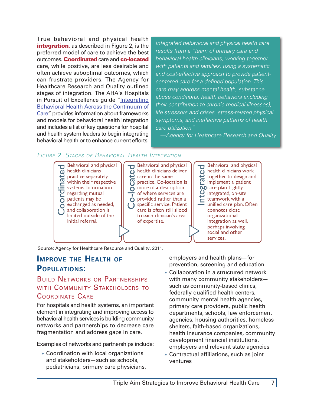<span id="page-6-0"></span>True behavioral and physical health integration, as described in Figure 2, is the preferred model of care to achieve the best outcomes. Coordinated care and co-located care, while positive, are less desirable and often achieve suboptimal outcomes, which can frustrate providers. The Agency for Healthcare Research and Quality outlined stages of integration. The AHA's Hospitals in Pursuit of Excellence guide "[Integrating](http://www.hpoe.org/Reports-HPOE/Behavioral%20health%20FINAL.pdf) [Behavioral Health Across the Continuum of](http://www.hpoe.org/Reports-HPOE/Behavioral%20health%20FINAL.pdf) [Care"](http://www.hpoe.org/Reports-HPOE/Behavioral%20health%20FINAL.pdf) provides information about frameworks and models for behavioral health integration and includes a list of key questions for hospital and health system leaders to begin integrating behavioral health or to enhance current efforts.

*Integrated behavioral and physical health care results from a "team of primary care and behavioral health clinicians, working together with patients and families, using a systematic and cost-effective approach to provide patientcentered care for a defined population. This care may address mental health, substance abuse conditions, health behaviors (including their contribution to chronic medical illnesses), life stressors and crises, stress-related physical symptoms, and ineffective patterns of health care utilization."*

*—Agency for Healthcare Research and Quality*

## *Figure 2. Stages of Behavioral Health Integration*



Source: Agency for Healthcare Resource and Quality, 2011.

## **Improve the Health of Populations:**

## Build Networks or Partnerships WITH COMMUNITY STAKEHOLDERS TO Coordinate Care

For hospitals and health systems, an important element in integrating and improving access to behavioral health services is building community networks and partnerships to decrease care fragmentation and address gaps in care.

Examples of networks and partnerships include:

» Coordination with local organizations and stakeholders—such as schools, pediatricians, primary care physicians, employers and health plans—for prevention, screening and education

- » Collaboration in a structured network with many community stakeholders such as community-based clinics, federally qualified health centers, community mental health agencies, primary care providers, public health departments, schools, law enforcement agencies, housing authorities, homeless shelters, faith-based organizations, health insurance companies, community development financial institutions, employers and relevant state agencies
- » Contractual affiliations, such as joint ventures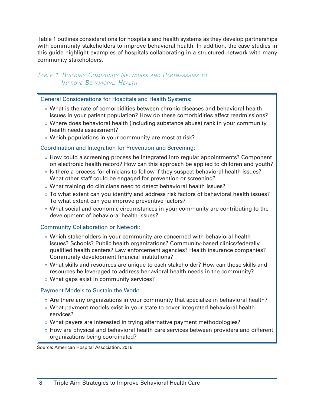Table 1 outlines considerations for hospitals and health systems as they develop partnerships with community stakeholders to improve behavioral health. In addition, the case studies in this guide highlight examples of hospitals collaborating in a structured network with many community stakeholders.

## *Table 1. Building Community Networks and Partnerships to Improve Behavioral Health*

General Considerations for Hospitals and Health Systems:

- » What is the rate of comorbidities between chronic diseases and behavioral health issues in your patient population? How do these comorbidities affect readmissions?
- » Where does behavioral health (including substance abuse) rank in your community health needs assessment?
- » Which populations in your community are most at risk?

#### Coordination and Integration for Prevention and Screening:

- » How could a screening process be integrated into regular appointments? Component on electronic health record? How can this approach be applied to children and youth?
- » Is there a process for clinicians to follow if they suspect behavioral health issues? What other staff could be engaged for prevention or screening?
- » What training do clinicians need to detect behavioral health issues?
- » To what extent can you identify and address risk factors of behavioral health issues? To what extent can you improve preventive factors?
- » What social and economic circumstances in your community are contributing to the development of behavioral health issues?

### Community Collaboration or Network:

- » Which stakeholders in your community are concerned with behavioral health issues? Schools? Public health organizations? Community-based clinics/federally qualified health centers? Law enforcement agencies? Health insurance companies? Community development financial institutions?
- » What skills and resources are unique to each stakeholder? How can those skills and resources be leveraged to address behavioral health needs in the community?
- » What gaps exist in community services?

### Payment Models to Sustain the Work:

- » Are there any organizations in your community that specialize in behavioral health?
- » What payment models exist in your state to cover integrated behavioral health services?
- » What payers are interested in trying alternative payment methodologies?
- » How are physical and behavioral health care services between providers and different organizations being coordinated?

Source: American Hospital Association, 2016.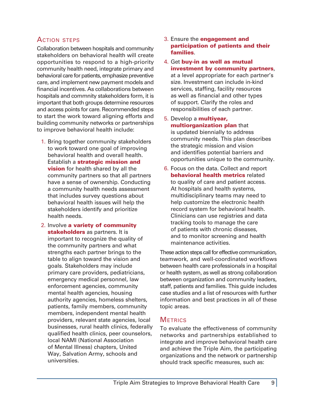## Action steps

Collaboration between hospitals and community stakeholders on behavioral health will create opportunities to respond to a high-priority community health need, integrate primary and behavioral care for patients, emphasize preventive care, and implement new payment models and financial incentives. As collaborations between hospitals and commnity stakeholders form, it is important that both groups determine resources and access points for care. Recommended steps to start the work toward aligning efforts and building community networks or partnerships to improve behavioral health include:

- 1. Bring together community stakeholders to work toward one goal of improving behavioral health and overall health. Establish a strategic mission and **vision** for health shared by all the community partners so that all partners have a sense of ownership. Conducting a community health needs assessment that includes survey questions about behavioral health issues will help the stakeholders identify and prioritize health needs.
- 2. Involve a variety of community stakeholders as partners. It is important to recognize the quality of the community partners and what strengths each partner brings to the table to align toward the vision and goals. Stakeholders may include primary care providers, pediatricians, emergency medical personnel, law enforcement agencies, community mental health agencies, housing authority agencies, homeless shelters, patients, family members, community members, independent mental health providers, relevant state agencies, local businesses, rural health clinics, federally qualified health clinics, peer counselors, local NAMI (National Association of Mental Illness) chapters, United Way, Salvation Army, schools and universities.
- 3. Ensure the **engagement and** participation of patients and their families.
- 4. Get buy-in as well as mutual investment by community partners, at a level appropriate for each partner's size. Investment can include in-kind services, staffing, facility resources as well as financial and other types of support. Clarify the roles and responsibilities of each partner.
- 5. Develop a multiyear, multiorganization plan that is updated biennially to address community needs. This plan describes the strategic mission and vision and identifies potential barriers and opportunities unique to the community.
- 6. Focus on the data. Collect and report behavioral health metrics related to quality of care and patient access. At hospitals and health systems, multidisciplinary teams may need to help customize the electronic health record system for behavioral health. Clinicians can use registries and data tracking tools to manage the care of patients with chronic diseases, and to monitor screening and health maintenance activities.

These action steps call for effective communication, teamwork, and well-coordinated workflows between health care professionals in a hospital or health system, as well as strong collaboration between organization and community leaders, staff, patients and families. This guide includes case studies and a list of resources with further information and best practices in all of these topic areas.

## **METRICS**

To evaluate the effectiveness of community networks and partnerships established to integrate and improve behavioral health care and achieve the Triple Aim, the participating organizations and the network or partnership should track specific measures, such as: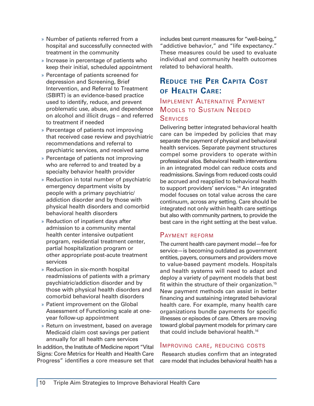- <span id="page-9-0"></span>» Number of patients referred from a hospital and successfully connected with treatment in the community
- » Increase in percentage of patients who keep their initial, scheduled appointment
- » Percentage of patients screened for depression and Screening, Brief Intervention, and Referral to Treatment (SBIRT) is an evidence-based practice used to identify, reduce, and prevent problematic use, abuse, and dependence on alcohol and illicit drugs – and referred to treatment if needed
- » Percentage of patients not improving that received case review and psychiatric recommendations and referral to psychiatric services, and received same
- » Percentage of patients not improving who are referred to and treated by a specialty behavior health provider
- » Reduction in total number of psychiatric emergency department visits by people with a primary psychiatric/ addiction disorder and by those with physical health disorders and comorbid behavioral health disorders
- » Reduction of inpatient days after admission to a community mental health center intensive outpatient program, residential treatment center, partial hospitalization program or other appropriate post-acute treatment services
- » Reduction in six-month hospital readmissions of patients with a primary psychiatric/addiction disorder and by those with physical health disorders and comorbid behavioral health disorders
- » Patient improvement on the Global Assessment of Functioning scale at oneyear follow-up appointment
- » Return on investment, based on average Medicaid claim cost savings per patient annually for all health care services

In addition, the Institute of Medicine report "Vital Signs: Core Metrics for Health and Health Care Progress" identifies a core measure set that

includes best current measures for "well-being," "addictive behavior," and "life expectancy." These measures could be used to evaluate individual and community health outcomes related to behavioral health.

## **Reduce the Per Capita Cost of Health Care:**

## Implement Alternative Payment Models to Sustain Needed **SERVICES**

Delivering better integrated behavioral health care can be impeded by policies that may separate the payment of physical and behavioral health services. Separate payment structures compel some providers to operate within professional silos. Behavioral health interventions in an integrated model can reduce costs and readmissions. Savings from reduced costs could be accrued and reapplied to behavioral health to support providers' services.<sup>14</sup> An integrated model focuses on total value across the care continuum, across any setting. Care should be integrated not only within health care settings but also with community partners, to provide the best care in the right setting at the best value.

## Payment reform

The current health care payment model—fee for service—is becoming outdated as government entities, payers, consumers and providers move to value-based payment models. Hospitals and health systems will need to adapt and deploy a variety of payment models that best fit within the structure of their organization.<sup>15</sup> New payment methods can assist in better financing and sustaining integrated behavioral health care. For example, many health care organizations bundle payments for specific illnesses or episodes of care. Others are moving toward global payment models for primary care that could include behavioral health.16

### Improving care, reducing costs

 Research studies confirm that an integrated care model that includes behavioral health has a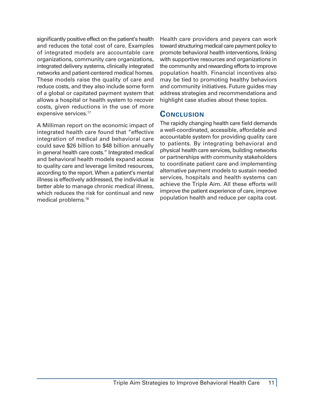<span id="page-10-0"></span>significantly positive effect on the patient's health and reduces the total cost of care. Examples of integrated models are accountable care organizations, community care organizations, integrated delivery systems, clinically integrated networks and patient-centered medical homes. These models raise the quality of care and reduce costs, and they also include some form of a global or capitated payment system that allows a hospital or health system to recover costs, given reductions in the use of more expensive services.17

A Milliman report on the economic impact of integrated health care found that "effective integration of medical and behavioral care could save \$26 billion to \$48 billion annually in general health care costs." Integrated medical and behavioral health models expand access to quality care and leverage limited resources, according to the report. When a patient's mental illness is effectively addressed, the individual is better able to manage chronic medical illness, which reduces the risk for continual and new medical problems.18

Health care providers and payers can work toward structuring medical care payment policy to promote behavioral health interventions, linking with supportive resources and organizations in the community and rewarding efforts to improve population health. Financial incentives also may be tied to promoting healthy behaviors and community initiatives. Future guides may address strategies and recommendations and highlight case studies about these topics.

## **Conclusion**

The rapidly changing health care field demands a well-coordinated, accessible, affordable and accountable system for providing quality care to patients. By integrating behavioral and physical health care services, building networks or partnerships with community stakeholders to coordinate patient care and implementing alternative payment models to sustain needed services, hospitals and health systems can achieve the Triple Aim. All these efforts will improve the patient experience of care, improve population health and reduce per capita cost.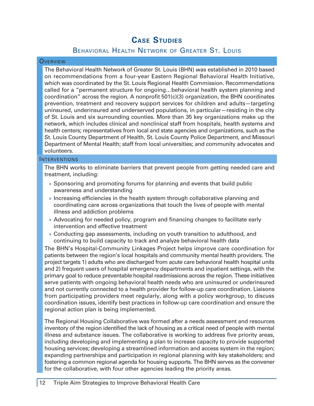## **Case Studies**

## Behavioral Health Network of Greater St. Louis

#### <span id="page-11-0"></span>**OVERVIEW**

The Behavioral Health Network of Greater St. Louis (BHN) was established in 2010 based on recommendations from a four-year Eastern Regional Behavioral Health Initiative, which was coordinated by the St. Louis Regional Health Commission. Recommendations called for a "permanent structure for ongoing…behavioral health system planning and coordination" across the region. A nonprofit 501(c)(3) organization, the BHN coordinates prevention, treatment and recovery support services for children and adults—targeting uninsured, underinsured and underserved populations, in particular—residing in the city of St. Louis and six surrounding counties. More than 35 key organizations make up the network, which includes clinical and nonclinical staff from hospitals, health systems and health centers; representatives from local and state agencies and organizations, such as the St. Louis County Department of Health, St. Louis County Police Department, and Missouri Department of Mental Health; staff from local universities; and community advocates and volunteers.

#### **INTERVENTIONS**

The BHN works to eliminate barriers that prevent people from getting needed care and treatment, including:

- » Sponsoring and promoting forums for planning and events that build public awareness and understanding
- » Increasing efficiencies in the health system through collaborative planning and coordinating care across organizations that touch the lives of people with mental illness and addiction problems
- » Advocating for needed policy, program and financing changes to facilitate early intervention and effective treatment
- » Conducting gap assessments, including on youth transition to adulthood, and continuing to build capacity to track and analyze behavioral health data

The BHN's Hospital-Community Linkages Project helps improve care coordination for patients between the region's local hospitals and community mental health providers. The project targets 1) adults who are discharged from acute care behavioral health hospital units and 2) frequent users of hospital emergency departments and inpatient settings, with the primary goal to reduce preventable hospital readmissions across the region. These initiatives serve patients with ongoing behavioral health needs who are uninsured or underinsured and not currently connected to a health provider for follow-up care coordination. Liaisons from participating providers meet regularly, along with a policy workgroup, to discuss coordination issues, identify best practices in follow-up care coordination and ensure the regional action plan is being implemented.

The Regional Housing Collaborative was formed after a needs assessment and resources inventory of the region identified the lack of housing as a critical need of people with mental illness and substance issues. The collaborative is working to address five priority areas, including developing and implementing a plan to increase capacity to provide supported housing services; developing a streamlined information and access system in the region; expanding partnerships and participation in regional planning with key stakeholders; and fostering a common regional agenda for housing supports. The BHN serves as the convener for the collaborative, with four other agencies leading the priority areas.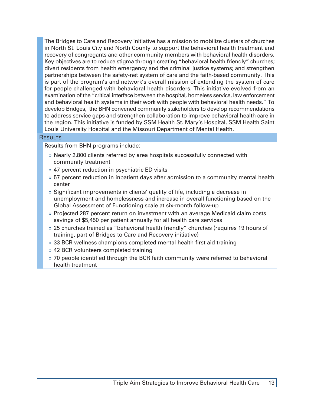The Bridges to Care and Recovery initiative has a mission to mobilize clusters of churches in North St. Louis City and North County to support the behavioral health treatment and recovery of congregants and other community members with behavioral health disorders. Key objectives are to reduce stigma through creating "behavioral health friendly" churches; divert residents from health emergency and the criminal justice systems; and strengthen partnerships between the safety-net system of care and the faith-based community. This is part of the program's and network's overall mission of extending the system of care for people challenged with behavioral health disorders. This initiative evolved from an examination of the "critical interface between the hospital, homeless service, law enforcement and behavioral health systems in their work with people with behavioral health needs." To develop Bridges, the BHN convened community stakeholders to develop recommendations to address service gaps and strengthen collaboration to improve behavioral health care in the region. This initiative is funded by SSM Health St. Mary's Hospital, SSM Health Saint Louis University Hospital and the Missouri Department of Mental Health.

#### **RESULTS**

Results from BHN programs include:

- » Nearly 2,800 clients referred by area hospitals successfully connected with community treatment
- » 47 percent reduction in psychiatric ED visits
- » 57 percent reduction in inpatient days after admission to a community mental health center
- » Significant improvements in clients' quality of life, including a decrease in unemployment and homelessness and increase in overall functioning based on the Global Assessment of Functioning scale at six-month follow-up
- » Projected 287 percent return on investment with an average Medicaid claim costs savings of \$5,450 per patient annually for all health care services
- » 25 churches trained as "behavioral health friendly" churches (requires 19 hours of training, part of Bridges to Care and Recovery initiative)
- » 33 BCR wellness champions completed mental health first aid training
- » 42 BCR volunteers completed training
- » 70 people identified through the BCR faith community were referred to behavioral health treatment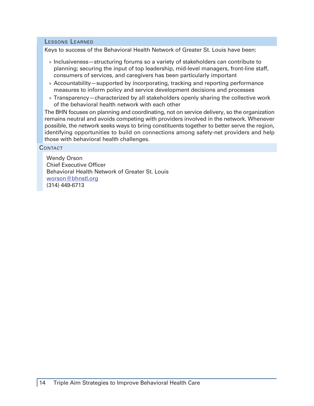#### Lessons Learned

Keys to success of the Behavioral Health Network of Greater St. Louis have been:

- » Inclusiveness—structuring forums so a variety of stakeholders can contribute to planning; securing the input of top leadership, mid-level managers, front-line staff, consumers of services, and caregivers has been particularly important
- » Accountability—supported by incorporating, tracking and reporting performance measures to inform policy and service development decisions and processes
- » Transparency—characterized by all stakeholders openly sharing the collective work of the behavioral health network with each other

The BHN focuses on planning and coordinating, not on service delivery, so the organization remains neutral and avoids competing with providers involved in the network. Whenever possible, the network seeks ways to bring constituents together to better serve the region, identifying opportunities to build on connections among safety-net providers and help those with behavioral health challenges.

**CONTACT** 

Wendy Orson Chief Executive Officer Behavioral Health Network of Greater St. Louis [worson@bhnstl.org](mailto:worson@bhnstl.org) (314) 449-6713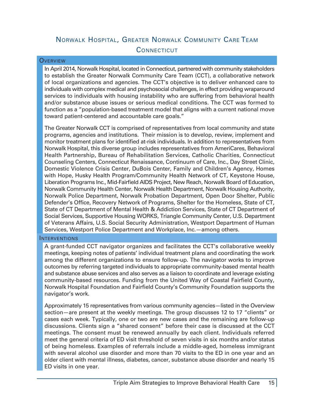## <span id="page-14-0"></span>Norwalk Hospital, Greater Norwalk Community Care Team **CONNECTICUT**

#### **OVERVIEW**

In April 2014, Norwalk Hospital, located in Connecticut, partnered with community stakeholders to establish the Greater Norwalk Community Care Team (CCT), a collaborative network of local organizations and agencies. The CCT's objective is to deliver enhanced care to individuals with complex medical and psychosocial challenges, in effect providing wraparound services to individuals with housing instability who are suffering from behavioral health and/or substance abuse issues or serious medical conditions. The CCT was formed to function as a "population-based treatment model that aligns with a current national move toward patient-centered and accountable care goals."

The Greater Norwalk CCT is comprised of representatives from local community and state programs, agencies and institutions. Their mission is to develop, review, implement and monitor treatment plans for identified at-risk individuals. In addition to representatives from Norwalk Hospital, this diverse group includes representatives from AmeriCares, Behavioral Health Partnership, Bureau of Rehabilitation Services, Catholic Charities, Connecticut Counseling Centers, Connecticut Renaissance, Continuum of Care, Inc., Day Street Clinic, Domestic Violence Crisis Center, DuBois Center, Family and Children's Agency, Homes with Hope, Husky Health Program/Community Health Network of CT, Keystone House, Liberation Programs Inc., Mid-Fairfield AIDS Project, New Reach, Norwalk Board of Education, Norwalk Community Health Center, Norwalk Health Department, Norwalk Housing Authority, Norwalk Police Department, Norwalk Probation Department, Open Door Shelter, Public Defender's Office, Recovery Network of Programs, Shelter for the Homeless, State of CT, State of CT Department of Mental Health & Addiction Services, State of CT Department of Social Services, Supportive Housing WORKS, Triangle Community Center, U.S. Department of Veterans Affairs, U.S. Social Security Administration, Westport Department of Human Services, Westport Police Department and Workplace, Inc.—among others.

### INTERVENTIONS

A grant-funded CCT navigator organizes and facilitates the CCT's collaborative weekly meetings, keeping notes of patients' individual treatment plans and coordinating the work among the different organizations to ensure follow-up. The navigator works to improve outcomes by referring targeted individuals to appropriate community-based mental health and substance abuse services and also serves as a liaison to coordinate and leverage existing community-based resources. Funding from the United Way of Coastal Fairfield County, Norwalk Hospital Foundation and Fairfield County's Community Foundation supports the navigator's work.

Approximately 15 representatives from various community agencies—listed in the Overview section—are present at the weekly meetings. The group discusses 12 to 17 "clients" or cases each week. Typically, one or two are new cases and the remaining are follow-up discussions. Clients sign a "shared consent" before their case is discussed at the CCT meetings. The consent must be renewed annually by each client. Individuals referred meet the general criteria of ED visit threshold of seven visits in six months and/or status of being homeless. Examples of referrals include a middle-aged, homeless immigrant with several alcohol use disorder and more than 70 visits to the ED in one year and an older client with mental illness, diabetes, cancer, substance abuse disorder and nearly 15 ED visits in one year.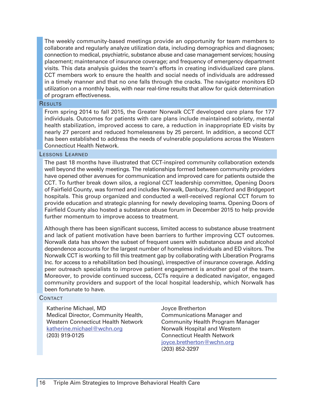The weekly community-based meetings provide an opportunity for team members to collaborate and regularly analyze utilization data, including demographics and diagnoses; connection to medical, psychiatric, substance abuse and case management services; housing placement; maintenance of insurance coverage; and frequency of emergency department visits. This data analysis guides the team's efforts in creating individualized care plans. CCT members work to ensure the health and social needs of individuals are addressed in a timely manner and that no one falls through the cracks. The navigator monitors ED utilization on a monthly basis, with near real-time results that allow for quick determination of program effectiveness.

#### **RESULTS**

From spring 2014 to fall 2015, the Greater Norwalk CCT developed care plans for 177 individuals. Outcomes for patients with care plans include maintained sobriety, mental health stabilization, improved access to care, a reduction in inappropriate ED visits by nearly 27 percent and reduced homelessness by 25 percent. In addition, a second CCT has been established to address the needs of vulnerable populations across the Western Connecticut Health Network.

#### Lessons Learned

The past 18 months have illustrated that CCT-inspired community collaboration extends well beyond the weekly meetings. The relationships formed between community providers have opened other avenues for communication and improved care for patients outside the CCT. To further break down silos, a regional CCT leadership committee, Opening Doors of Fairfield County, was formed and includes Norwalk, Danbury, Stamford and Bridgeport hospitals. This group organized and conducted a well-received regional CCT forum to provide education and strategic planning for newly developing teams. Opening Doors of Fairfield County also hosted a substance abuse forum in December 2015 to help provide further momentum to improve access to treatment.

Although there has been significant success, limited access to substance abuse treatment and lack of patient motivation have been barriers to further improving CCT outcomes. Norwalk data has shown the subset of frequent users with substance abuse and alcohol dependence accounts for the largest number of homeless individuals and ED visitors. The Norwalk CCT is working to fill this treatment gap by collaborating with Liberation Programs Inc. for access to a rehabilitation bed (housing), irrespective of insurance coverage. Adding peer outreach specialists to improve patient engagement is another goal of the team. Moreover, to provide continued success, CCTs require a dedicated navigator, engaged community providers and support of the local hospital leadership, which Norwalk has been fortunate to have.

#### **CONTACT**

Katherine Michael, MD Medical Director, Community Health, Western Connecticut Health Network [katherine.michael@wchn.org](mailto:katherine.michael@wchn.org) (203) 919-0125

Joyce Bretherton Communications Manager and Community Health Program Manager Norwalk Hospital and Western Connecticut Health Network [joyce.bretherton@wchn.org](mailto:joyce.bretherton@wchn.org) (203) 852-3297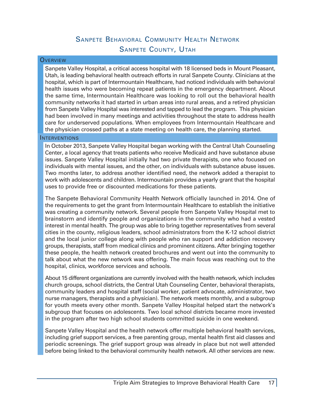## Sanpete Behavioral Community Health Network Sanpete County, Utah

#### <span id="page-16-0"></span>**OVERVIEW**

Sanpete Valley Hospital, a critical access hospital with 18 licensed beds in Mount Pleasant, Utah, is leading behavioral health outreach efforts in rural Sanpete County. Clinicians at the hospital, which is part of Intermountain Healthcare, had noticed individuals with behavioral health issues who were becoming repeat patients in the emergency department. About the same time, Intermountain Healthcare was looking to roll out the behavioral health community networks it had started in urban areas into rural areas, and a retired physician from Sanpete Valley Hospital was interested and tapped to lead the program. This physician had been involved in many meetings and activities throughout the state to address health care for underserved populations. When employees from Intermountain Healthcare and the physician crossed paths at a state meeting on health care, the planning started.

#### **INTERVENTIONS**

In October 2013, Sanpete Valley Hospital began working with the Central Utah Counseling Center, a local agency that treats patients who receive Medicaid and have substance abuse issues. Sanpete Valley Hospital initially had two private therapists, one who focused on individuals with mental issues, and the other, on individuals with substance abuse issues. Two months later, to address another identified need, the network added a therapist to work with adolescents and children. Intermountain provides a yearly grant that the hospital uses to provide free or discounted medications for these patients.

The Sanpete Behavioral Community Health Network officially launched in 2014. One of the requirements to get the grant from Intermountain Healthcare to establish the initiative was creating a community network. Several people from Sanpete Valley Hospital met to brainstorm and identify people and organizations in the community who had a vested interest in mental health. The group was able to bring together representatives from several cities in the county, religious leaders, school administrators from the K-12 school district and the local junior college along with people who ran support and addiction recovery groups, therapists, staff from medical clinics and prominent citizens. After bringing together these people, the health network created brochures and went out into the community to talk about what the new network was offering. The main focus was reaching out to the hospital, clinics, workforce services and schools.

About 15 different organizations are currently involved with the health network, which includes church groups, school districts, the Central Utah Counseling Center, behavioral therapists, community leaders and hospital staff (social worker, patient advocate, administrator, two nurse managers, therapists and a physician). The network meets monthly, and a subgroup for youth meets every other month. Sanpete Valley Hospital helped start the network's subgroup that focuses on adolescents. Two local school districts became more invested in the program after two high school students committed suicide in one weekend.

Sanpete Valley Hospital and the health network offer multiple behavioral health services, including grief support services, a free parenting group, mental health first aid classes and periodic screenings. The grief support group was already in place but not well attended before being linked to the behavioral community health network. All other services are new.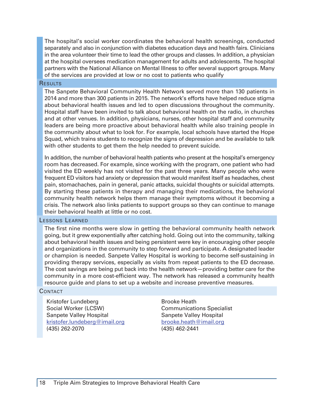The hospital's social worker coordinates the behavioral health screenings, conducted separately and also in conjunction with diabetes education days and health fairs. Clinicians in the area volunteer their time to lead the other groups and classes. In addition, a physician at the hospital oversees medication management for adults and adolescents. The hospital partners with the National Alliance on Mental Illness to offer several support groups. Many of the services are provided at low or no cost to patients who qualify

#### **RESULTS**

The Sanpete Behavioral Community Health Network served more than 130 patients in 2014 and more than 300 patients in 2015. The network's efforts have helped reduce stigma about behavioral health issues and led to open discussions throughout the community. Hospital staff have been invited to talk about behavioral health on the radio, in churches and at other venues. In addition, physicians, nurses, other hospital staff and community leaders are being more proactive about behavioral health while also training people in the community about what to look for. For example, local schools have started the Hope Squad, which trains students to recognize the signs of depression and be available to talk with other students to get them the help needed to prevent suicide.

In addition, the number of behavioral health patients who present at the hospital's emergency room has decreased. For example, since working with the program, one patient who had visited the ED weekly has not visited for the past three years. Many people who were frequent ED visitors had anxiety or depression that would manifest itself as headaches, chest pain, stomachaches, pain in general, panic attacks, suicidal thoughts or suicidal attempts. By starting these patients in therapy and managing their medications, the behavioral community health network helps them manage their symptoms without it becoming a crisis. The network also links patients to support groups so they can continue to manage their behavioral health at little or no cost.

#### Lessons Learned

The first nine months were slow in getting the behavioral community health network going, but it grew exponentially after catching hold. Going out into the community, talking about behavioral health issues and being persistent were key in encouraging other people and organizations in the community to step forward and participate. A designated leader or champion is needed. Sanpete Valley Hospital is working to become self-sustaining in providing therapy services, especially as visits from repeat patients to the ED decrease. The cost savings are being put back into the health network—providing better care for the community in a more cost-efficient way. The network has released a community health resource guide and plans to set up a website and increase preventive measures.

#### **CONTACT**

Kristofer Lundeberg Social Worker (LCSW) Sanpete Valley Hospital [kristofer.lundeberg@imail.org](mailto:kristofer.lundeberg@imail.org) (435) 262-2070

Brooke Heath Communications Specialist Sanpete Valley Hospital [brooke.heath@imail.org](mailto:brooke.heath@imail.org) (435) 462-2441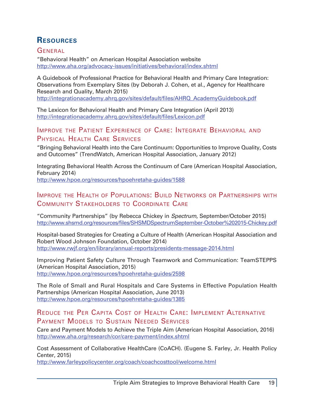## <span id="page-18-0"></span>**Resources**

**GENERAL** 

"Behavioral Health" on American Hospital Association website <http://www.aha.org/advocacy-issues/initiatives/behavioral/index.shtml>

A Guidebook of Professional Practice for Behavioral Health and Primary Care Integration: Observations from Exemplary Sites (by Deborah J. Cohen, et al., Agency for Healthcare Research and Quality, March 2015)

[http://integrationacademy.ahrq.gov/sites/default/files/AHRQ\\_AcademyGuidebook.pdf](http://integrationacademy.ahrq.gov/sites/default/files/AHRQ_AcademyGuidebook.pdf)

The Lexicon for Behavioral Health and Primary Care Integration (April 2013) <http://integrationacademy.ahrq.gov/sites/default/files/Lexicon.pdf>

## Improve the Patient Experience of Care: Integrate Behavioral and Physical Health Care Services

"Bringing Behavioral Health into the Care Continuum: Opportunities to Improve Quality, Costs and Outcomes" (TrendWatch, American Hospital Association, January 2012)

Integrating Behavioral Health Across the Continuum of Care (American Hospital Association, February 2014)

<http://www.hpoe.org/resources/hpoehretaha-guides/1588>

## Improve the Health of Populations: Build Networks or Partnerships with Community Stakeholders to Coordinate Care

"Community Partnerships" (by Rebecca Chickey in *Spectrum*, September/October 2015) [http://www.shsmd.org/resources/files/SHSMDSpectrumSeptember-](http://www.shsmd.org/resources/files/SHSMDSpectrumSeptember-October%202015-Chickey.pdf)October%202015-Chickey.pdf

Hospital-based Strategies for Creating a Culture of Health (American Hospital Association and Robert Wood Johnson Foundation, October 2014) <http://www.rwjf.org/en/library/annual-reports/presidents-message-2014.html>

Improving Patient Safety Culture Through Teamwork and Communication: TeamSTEPPS (American Hospital Association, 2015) <http://www.hpoe.org/resources/hpoehretaha-guides/2598>

The Role of Small and Rural Hospitals and Care Systems in Effective Population Health Partnerships (American Hospital Association, June 2013) <http://www.hpoe.org/resources/hpoehretaha-guides/1385>

## Reduce the Per Capita Cost of Health Care: Implement Alternative Payment Models to Sustain Needed Services

Care and Payment Models to Achieve the Triple Aim (American Hospital Association, 2016) <http://www.aha.org/research/cor/care-payment/index.shtml>

Cost Assessment of Collaborative HealthCare (CoACH). (Eugene S. Farley, Jr. Health Policy Center, 2015)

<http://www.farleypolicycenter.org/coach/coachcosttool/welcome.html>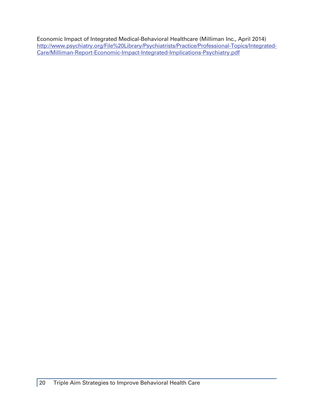Economic Impact of Integrated Medical-Behavioral Healthcare (Milliman Inc., April 2014) [http://www.psychiatry.org/File%](http://www.psychiatry.org/File%20Library/Psychiatrists/Practice/Professional-Topics/Integrated-Care/Milliman-Report-Economic-Impact-Integrated-Implications-Psychiatry.pdf)20Library/Psychiatrists/Practice/Professional-Topics/Integrated-Care/Milliman-Report-Economic-Impact-Integrated-Implications-Psychiatry.pdf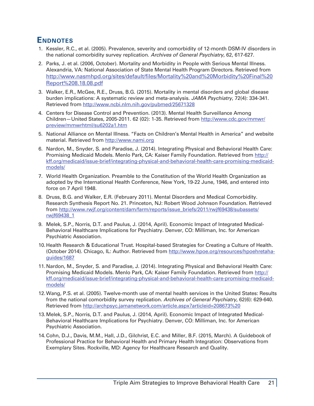## <span id="page-20-0"></span>**Endnotes**

- 1. Kessler, R.C., et al. (2005). Prevalence, severity and comorbidity of 12-month DSM-IV disorders in the national comorbidity survey replication. *Archives of General Psychiatry*, 62, 617-627.
- 2. Parks, J. et al. (2006, October). Mortality and Morbidity in People with Serious Mental Illness. Alexandria, VA: National Association of State Mental Health Program Directors. Retrieved from [http://www.nasmhpd.org/sites/default/files/Mortality%20and%20Morbidity%20Final%20](http://www.nasmhpd.org/sites/default/files/Mortality%20and%20Morbidity%20Final%20Report%208.18.08.pdf) [Report%208.18.08.pdf](http://www.nasmhpd.org/sites/default/files/Mortality%20and%20Morbidity%20Final%20Report%208.18.08.pdf)
- 3. Walker, E.R., McGee, R.E., Druss, B.G. (2015). Mortality in mental disorders and global disease burden implications: A systematic review and meta-analysis. *JAMA Psychiatry*, 72(4): 334-341. Retrieved from <http://www.ncbi.nlm.nih.gov/pubmed/25671328>
- 4. Centers for Disease Control and Prevention. (2013). Mental Health Surveillance Among Children—United States, 2005-2011. 62 (02): 1-35. Retrieved from [http://www.cdc.gov/mmwr/](http://www.cdc.gov/mmwr/preview/mmwrhtml/su6202a1.htm) [preview/mmwrhtml/su6202a1.htm](http://www.cdc.gov/mmwr/preview/mmwrhtml/su6202a1.htm)
- 5. National Alliance on Mental Illness. "Facts on Children's Mental Health in America" and website material. Retrieved from<http://www.nami.org>
- 6. Nardon, M., Snyder, S. and Paradise, J. (2014). Integrating Physical and Behavioral Health Care: Promising Medicaid Models. Menlo Park, CA: Kaiser Family Foundation. Retrieved from [http://](http://kff.org/medicaid/issue-brief/integrating-physical-and-behavioral-health-care-promising-medicaid-models/) [kff.org/medicaid/issue-brief/integrating-](http://kff.org/medicaid/issue-brief/integrating-physical-and-behavioral-health-care-promising-medicaid-models/)physical-and-behavioral-health-care-promising-medicaidmodels/
- 7. World Health Organization. Preamble to the Constitution of the World Health Organization as adopted by the International Health Conference, New York, 19-22 June, 1946, and entered into force on 7 April 1948.
- 8. Druss, B.G. and Walker, E.R. (February 2011). Mental Disorders and Medical Comorbidity. Research Synthesis Report No. 21. Princeton, NJ: Robert Wood Johnson Foundation. Retrieved from [http://www.rwjf.org/content/dam/farm/reports/issue\\_briefs/2011/rwjf69438/subassets/](http://www.rwjf.org/content/dam/farm/reports/issue_briefs/2011/rwjf69438/subassets/rwjf69438_1) [rwjf69438\\_1](http://www.rwjf.org/content/dam/farm/reports/issue_briefs/2011/rwjf69438/subassets/rwjf69438_1)
- 9. Melek, S.P., Norris, D.T. and Paulus, J. (2014, April). Economic Impact of Integrated Medical-Behavioral Healthcare Implications for Psychiatry. Denver, CO: Milliman, Inc. for American Psychiatric Association.
- 10.Health Research & Educational Trust. Hospital-based Strategies for Creating a Culture of Health. (October 2014). Chicago, IL: Author. Retrieved from [http://www.hpoe.org/resources/hpoehretaha](http://www.hpoe.org/resources/hpoehretaha-guides/1687)[guides/1687](http://www.hpoe.org/resources/hpoehretaha-guides/1687)
- 11.Nardon, M., Snyder, S. and Paradise, J. (2014). Integrating Physical and Behavioral Health Care: Promising Medicaid Models. Menlo Park, CA: Kaiser Family Foundation. Retrieved from [http://](http://kff.org/medicaid/issue-brief/integrating-physical-and-behavioral-health-care-promising-medicaid-models/) [kff.org/medicaid/issue-brief/integrating-](http://kff.org/medicaid/issue-brief/integrating-physical-and-behavioral-health-care-promising-medicaid-models/)physical-and-behavioral-health-care-promising-medicaidmodels/
- 12.Wang, P.S. et al. (2005). Twelve-month use of mental health services in the United States: Results from the national comorbidity survey replication. *Archives of General Psychiatry*, 62(6): 629-640. Retrieved from <http://archpsyc.jamanetwork.com/article.aspx?articleid=208673%20>
- 13.Melek, S.P., Norris, D.T. and Paulus, J. (2014, April). Economic Impact of Integrated Medical-Behavioral Healthcare Implications for Psychiatry. Denver, CO: Milliman, Inc. for American Psychiatric Association.
- 14.Cohn, D.J., Davis, M.M., Hall, J.D., Gilchrist, E.C. and Miller, B.F. (2015, March). A Guidebook of Professional Practice for Behavioral Health and Primary Health Integration: Observations from Exemplary Sites. Rockville, MD: Agency for Healthcare Research and Quality.